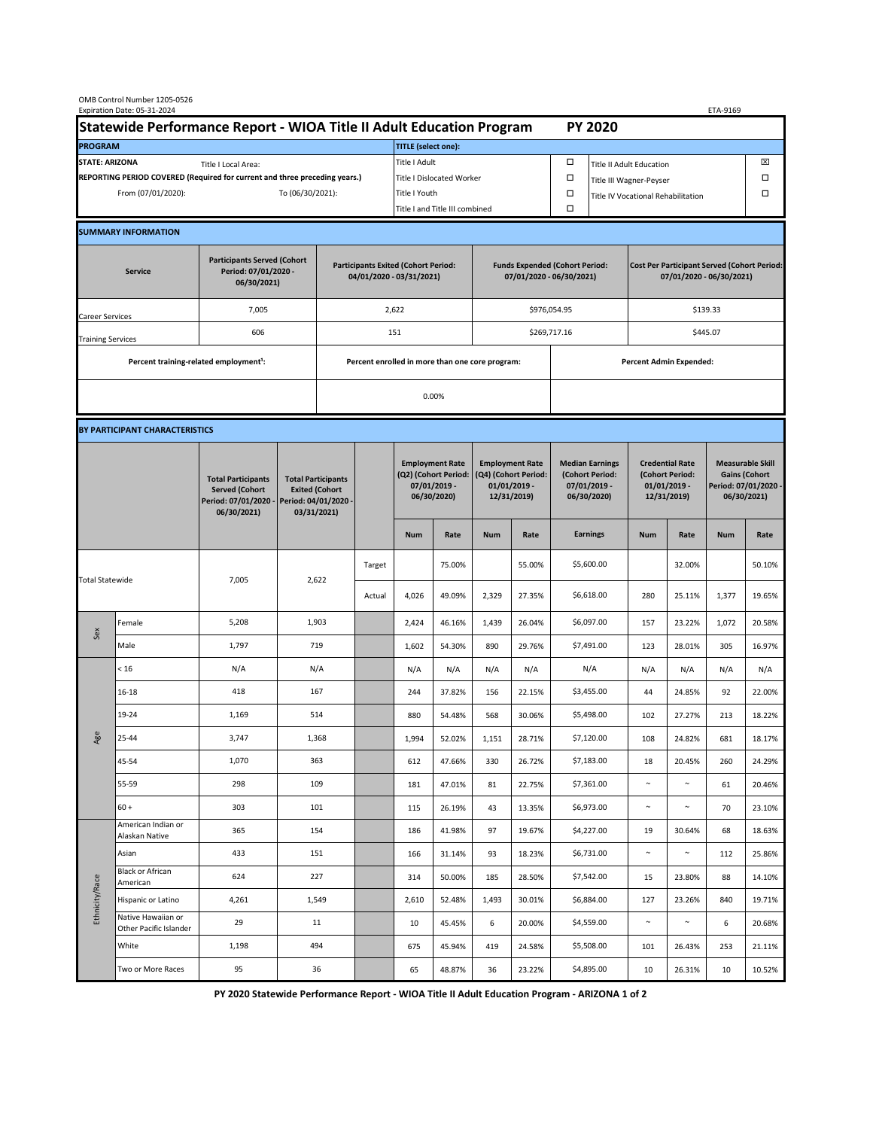| OMB Control Number 1205-0526<br>Expiration Date: 05-31-2024<br>ETA-9169                     |                                                                            |                                                                                           |                                                                                           |                                                                        |        |                                                                               |               |                                                                                 |                                |                                                                            |                                    |                                                                                |        |                                                                                        |        |  |
|---------------------------------------------------------------------------------------------|----------------------------------------------------------------------------|-------------------------------------------------------------------------------------------|-------------------------------------------------------------------------------------------|------------------------------------------------------------------------|--------|-------------------------------------------------------------------------------|---------------|---------------------------------------------------------------------------------|--------------------------------|----------------------------------------------------------------------------|------------------------------------|--------------------------------------------------------------------------------|--------|----------------------------------------------------------------------------------------|--------|--|
| Statewide Performance Report - WIOA Title II Adult Education Program                        |                                                                            |                                                                                           |                                                                                           |                                                                        |        |                                                                               |               |                                                                                 |                                |                                                                            | <b>PY 2020</b>                     |                                                                                |        |                                                                                        |        |  |
| <b>PROGRAM</b>                                                                              |                                                                            |                                                                                           |                                                                                           |                                                                        |        | <b>TITLE</b> (select one):                                                    |               |                                                                                 |                                |                                                                            |                                    |                                                                                |        |                                                                                        |        |  |
| <b>STATE: ARIZONA</b><br>Title I Local Area:                                                |                                                                            |                                                                                           |                                                                                           |                                                                        |        | Title I Adult                                                                 |               |                                                                                 |                                | □<br><b>Title II Adult Education</b>                                       |                                    |                                                                                |        |                                                                                        | ⊠      |  |
|                                                                                             | REPORTING PERIOD COVERED (Required for current and three preceding years.) |                                                                                           |                                                                                           | Title I Dislocated Worker                                              |        |                                                                               | Ω             | Title III Wagner-Peyser                                                         |                                |                                                                            |                                    | □                                                                              |        |                                                                                        |        |  |
| From (07/01/2020):                                                                          |                                                                            |                                                                                           |                                                                                           | To (06/30/2021):                                                       |        |                                                                               | Title I Youth |                                                                                 |                                | $\Box$                                                                     | Title IV Vocational Rehabilitation |                                                                                |        |                                                                                        | □      |  |
|                                                                                             |                                                                            |                                                                                           |                                                                                           |                                                                        |        | Title I and Title III combined                                                |               |                                                                                 |                                | Ω                                                                          |                                    |                                                                                |        |                                                                                        |        |  |
|                                                                                             | <b>SUMMARY INFORMATION</b>                                                 |                                                                                           |                                                                                           |                                                                        |        |                                                                               |               |                                                                                 |                                |                                                                            |                                    |                                                                                |        |                                                                                        |        |  |
| <b>Participants Served (Cohort</b><br>Period: 07/01/2020 -<br><b>Service</b><br>06/30/2021) |                                                                            |                                                                                           |                                                                                           | <b>Participants Exited (Cohort Period:</b><br>04/01/2020 - 03/31/2021) |        |                                                                               |               | <b>Funds Expended (Cohort Period:</b><br>07/01/2020 - 06/30/2021)               |                                |                                                                            |                                    | <b>Cost Per Participant Served (Cohort Period:</b><br>07/01/2020 - 06/30/2021) |        |                                                                                        |        |  |
| <b>Career Services</b>                                                                      |                                                                            | 7,005                                                                                     |                                                                                           |                                                                        | 2,622  |                                                                               |               |                                                                                 |                                | \$976,054.95                                                               |                                    | \$139.33                                                                       |        |                                                                                        |        |  |
| <b>Training Services</b>                                                                    |                                                                            | 606                                                                                       |                                                                                           | 151                                                                    |        |                                                                               |               |                                                                                 |                                | \$269,717.16                                                               |                                    | \$445.07                                                                       |        |                                                                                        |        |  |
|                                                                                             | Percent training-related employment <sup>1</sup> :                         |                                                                                           | Percent enrolled in more than one core program:                                           |                                                                        |        |                                                                               |               |                                                                                 | <b>Percent Admin Expended:</b> |                                                                            |                                    |                                                                                |        |                                                                                        |        |  |
|                                                                                             |                                                                            |                                                                                           |                                                                                           |                                                                        |        |                                                                               |               |                                                                                 |                                |                                                                            |                                    |                                                                                |        |                                                                                        |        |  |
|                                                                                             |                                                                            |                                                                                           | 0.00%                                                                                     |                                                                        |        |                                                                               |               |                                                                                 |                                |                                                                            |                                    |                                                                                |        |                                                                                        |        |  |
|                                                                                             | BY PARTICIPANT CHARACTERISTICS                                             |                                                                                           |                                                                                           |                                                                        |        |                                                                               |               |                                                                                 |                                |                                                                            |                                    |                                                                                |        |                                                                                        |        |  |
|                                                                                             |                                                                            | <b>Total Participants</b><br><b>Served (Cohort</b><br>Period: 07/01/2020 -<br>06/30/2021) | <b>Total Participants</b><br><b>Exited (Cohort</b><br>Period: 04/01/2020 -<br>03/31/2021) |                                                                        |        | <b>Employment Rate</b><br>(Q2) (Cohort Period:<br>07/01/2019 -<br>06/30/2020) |               | <b>Employment Rate</b><br>(Q4) (Cohort Period:<br>$01/01/2019$ -<br>12/31/2019) |                                | <b>Median Earnings</b><br>(Cohort Period:<br>$07/01/2019 -$<br>06/30/2020) |                                    | <b>Credential Rate</b><br>(Cohort Period:<br>$01/01/2019$ -<br>12/31/2019)     |        | <b>Measurable Skill</b><br><b>Gains (Cohort</b><br>Period: 07/01/2020 -<br>06/30/2021) |        |  |
|                                                                                             |                                                                            |                                                                                           |                                                                                           |                                                                        |        | <b>Num</b>                                                                    | Rate          | <b>Num</b>                                                                      | Rate                           |                                                                            | <b>Earnings</b>                    | <b>Num</b>                                                                     | Rate   | <b>Num</b>                                                                             | Rate   |  |
| <b>Total Statewide</b>                                                                      |                                                                            | 7,005                                                                                     | 2,622                                                                                     |                                                                        | Target |                                                                               | 75.00%        |                                                                                 | 55.00%                         |                                                                            | \$5,600.00                         |                                                                                | 32.00% |                                                                                        | 50.10% |  |
|                                                                                             |                                                                            |                                                                                           |                                                                                           |                                                                        | Actual | 4,026                                                                         | 49.09%        | 2,329                                                                           | 27.35%                         |                                                                            | \$6,618.00                         | 280                                                                            | 25.11% | 1,377                                                                                  | 19.65% |  |
| Sex                                                                                         | Female                                                                     | 5,208                                                                                     | 1,903                                                                                     |                                                                        |        | 2,424                                                                         | 46.16%        | 1,439                                                                           | 26.04%                         |                                                                            | \$6,097.00                         | 157                                                                            | 23.22% | 1,072                                                                                  | 20.58% |  |
|                                                                                             | Male                                                                       | 1,797                                                                                     | 719                                                                                       |                                                                        |        | 1,602                                                                         | 54.30%        | 890                                                                             | 29.76%                         |                                                                            | \$7,491.00                         | 123                                                                            | 28.01% | 305                                                                                    | 16.97% |  |
|                                                                                             | < 16                                                                       | N/A                                                                                       | N/A                                                                                       |                                                                        |        | N/A                                                                           | N/A           | N/A                                                                             | N/A                            |                                                                            | N/A                                | N/A                                                                            | N/A    | N/A                                                                                    | N/A    |  |
|                                                                                             | 16-18                                                                      | 418                                                                                       | 167                                                                                       |                                                                        |        | 244                                                                           | 37.82%        | 156                                                                             | 22.15%                         |                                                                            | \$3,455.00                         | 44                                                                             | 24.85% | 92                                                                                     | 22.00% |  |
| Age                                                                                         | 19-24                                                                      | 1,169                                                                                     | 514                                                                                       |                                                                        |        | 880                                                                           | 54.48%        | 568                                                                             | 30.06%                         |                                                                            | \$5,498.00                         | 102                                                                            | 27.27% | 213                                                                                    | 18.22% |  |
|                                                                                             | 25-44                                                                      | 3,747                                                                                     | 1,368                                                                                     |                                                                        |        | 1,994                                                                         | 52.02%        | 1,151                                                                           | 28.71%                         |                                                                            | \$7,120.00                         | 108                                                                            | 24.82% | 681                                                                                    | 18.17% |  |
|                                                                                             | 45-54                                                                      | 1,070                                                                                     | 363                                                                                       |                                                                        |        | 612                                                                           | 47.66%        | 330                                                                             | 26.72%                         |                                                                            | \$7,183.00                         | 18                                                                             | 20.45% | 260                                                                                    | 24.29% |  |
|                                                                                             | 55-59                                                                      | 298                                                                                       | 109                                                                                       |                                                                        |        | 181                                                                           | 47.01%        | 81                                                                              | 22.75%                         |                                                                            | \$7,361.00                         | $\sim$                                                                         | $\sim$ | 61                                                                                     | 20.46% |  |
|                                                                                             | $60 +$                                                                     | 303                                                                                       | 101                                                                                       |                                                                        |        | 115                                                                           | 26.19%        | 43                                                                              | 13.35%                         |                                                                            | \$6,973.00                         | $\sim$                                                                         | $\sim$ | 70                                                                                     | 23.10% |  |
| Ethnicity/Race                                                                              | American Indian or<br>Alaskan Native                                       | 365                                                                                       | 154                                                                                       |                                                                        |        | 186                                                                           | 41.98%        | 97                                                                              | 19.67%                         |                                                                            | \$4,227.00                         | 19                                                                             | 30.64% | 68                                                                                     | 18.63% |  |
|                                                                                             | Asian<br>Black or African                                                  | 433                                                                                       | 151                                                                                       |                                                                        |        | 166                                                                           | 31.14%        | 93                                                                              | 18.23%                         |                                                                            | \$6,731.00                         | $\sim$                                                                         | $\sim$ | 112                                                                                    | 25.86% |  |
|                                                                                             | American                                                                   | 624                                                                                       | 227                                                                                       |                                                                        |        | 314                                                                           | 50.00%        | 185                                                                             | 28.50%                         |                                                                            | \$7,542.00                         | 15                                                                             | 23.80% | 88                                                                                     | 14.10% |  |
|                                                                                             | Hispanic or Latino<br>Native Hawaiian or                                   | 4,261                                                                                     | 1,549                                                                                     |                                                                        |        | 2,610                                                                         | 52.48%        | 1,493                                                                           | 30.01%                         |                                                                            | \$6,884.00                         | 127                                                                            | 23.26% | 840                                                                                    | 19.71% |  |
|                                                                                             | Other Pacific Islander                                                     | 29                                                                                        |                                                                                           | 11                                                                     |        | 10                                                                            | 45.45%        | 6                                                                               | 20.00%                         |                                                                            | \$4,559.00                         | $\sim$                                                                         | $\sim$ | 6                                                                                      | 20.68% |  |
|                                                                                             | White                                                                      | 1,198                                                                                     | 494                                                                                       |                                                                        |        | 675                                                                           | 45.94%        | 419                                                                             | 24.58%                         |                                                                            | \$5,508.00                         | 101                                                                            | 26.43% | 253                                                                                    | 21.11% |  |
|                                                                                             | Two or More Races                                                          | 95                                                                                        | 36                                                                                        |                                                                        |        | 65                                                                            | 48.87%        | 36                                                                              | 23.22%                         |                                                                            | \$4,895.00                         | 10                                                                             | 26.31% | 10                                                                                     | 10.52% |  |

 **PY 2020 Statewide Performance Report - WIOA Title II Adult Education Program - ARIZONA 1 of 2**